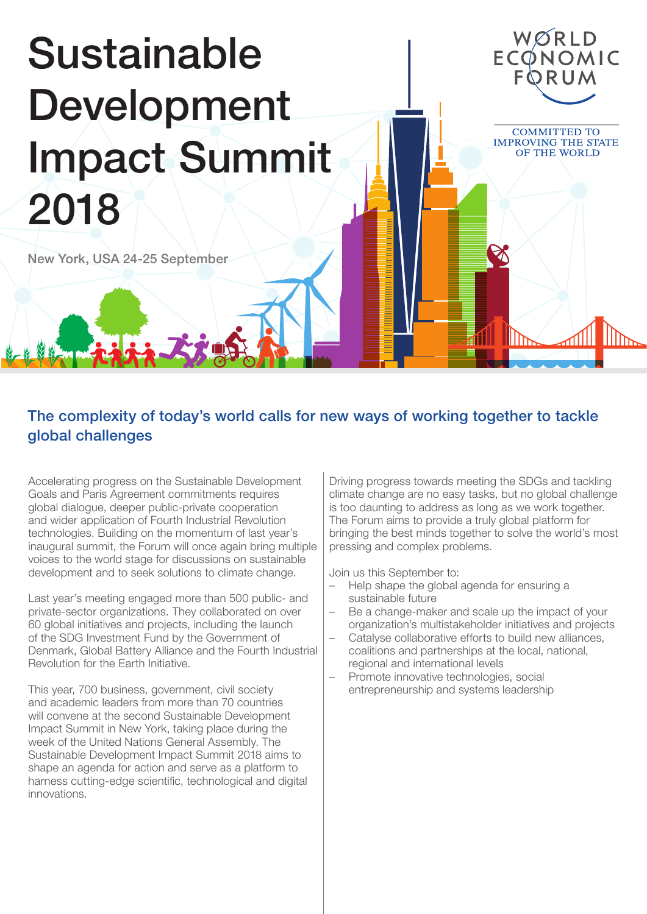# Sustainable **Development** Impact Summit 2018

New York, USA 24-25 September

# The complexity of today's world calls for new ways of working together to tackle global challenges

Accelerating progress on the Sustainable Development Goals and Paris Agreement commitments requires global dialogue, deeper public-private cooperation and wider application of Fourth Industrial Revolution technologies. Building on the momentum of last year's inaugural summit, the Forum will once again bring multiple voices to the world stage for discussions on sustainable development and to seek solutions to climate change.

Last year's meeting engaged more than 500 public- and private-sector organizations. They collaborated on over 60 global initiatives and projects, including the launch of the SDG Investment Fund by the Government of Denmark, Global Battery Alliance and the Fourth Industrial Revolution for the Earth Initiative.

This year, 700 business, government, civil society and academic leaders from more than 70 countries will convene at the second Sustainable Development Impact Summit in New York, taking place during the week of the United Nations General Assembly. The Sustainable Development Impact Summit 2018 aims to shape an agenda for action and serve as a platform to harness cutting-edge scientific, technological and digital innovations.

Driving progress towards meeting the SDGs and tackling climate change are no easy tasks, but no global challenge is too daunting to address as long as we work together. The Forum aims to provide a truly global platform for bringing the best minds together to solve the world's most pressing and complex problems.

WØRLD ECONOMIC

**COMMITTED TO IMPROVING THE STATE** OF THE WORLD

Join us this September to:

- Help shape the global agenda for ensuring a sustainable future
- Be a change-maker and scale up the impact of your organization's multistakeholder initiatives and projects
- Catalyse collaborative efforts to build new alliances, coalitions and partnerships at the local, national, regional and international levels
- Promote innovative technologies, social entrepreneurship and systems leadership